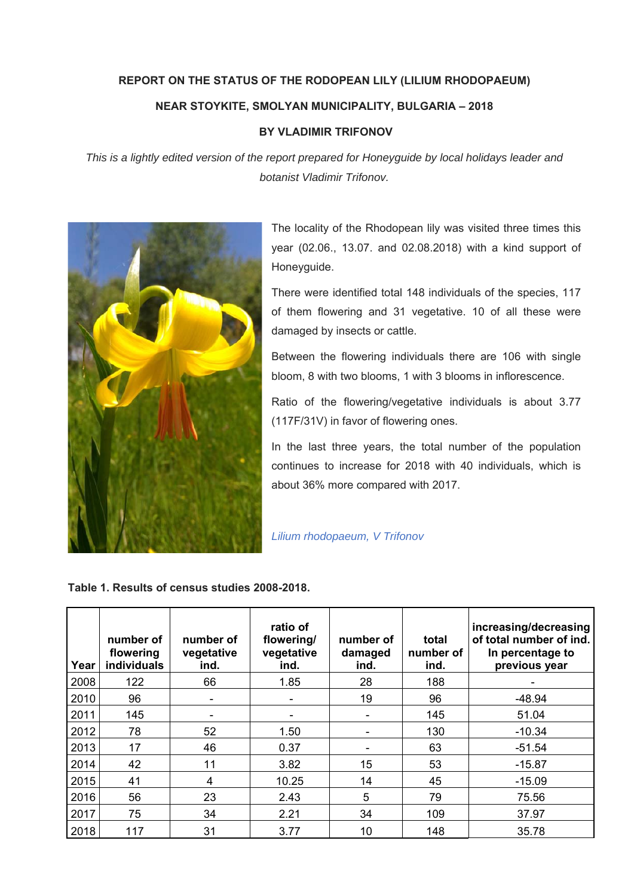## **REPORT ON THE STATUS OF THE RODOPEAN LILY (LILIUM RHODOPAEUM) NEAR STOYKITE, SMOLYAN MUNICIPALITY, BULGARIA – 2018**

## **BY VLADIMIR TRIFONOV**

*This is a lightly edited version of the report prepared for Honeyguide by local holidays leader and botanist Vladimir Trifonov.* 



The locality of the Rhodopean lily was visited three times this year (02.06., 13.07. and 02.08.2018) with a kind support of Honeyguide.

There were identified total 148 individuals of the species, 117 of them flowering and 31 vegetative. 10 of all these were damaged by insects or cattle.

Between the flowering individuals there are 106 with single bloom, 8 with two blooms, 1 with 3 blooms in inflorescence.

Ratio of the flowering/vegetative individuals is about 3.77 (117F/31V) in favor of flowering ones.

In the last three years, the total number of the population continues to increase for 2018 with 40 individuals, which is about 36% more compared with 2017.

## *Lilium rhodopaeum, V Trifonov*

**Table 1. Results of census studies 2008-2018.** 

| Year | number of<br>flowering<br>individuals | number of<br>vegetative<br>ind. | ratio of<br>flowering/<br>vegetative<br>ind. | number of<br>damaged<br>ind. | total<br>number of<br>ind. | increasing/decreasing<br>of total number of ind.<br>In percentage to<br>previous year |
|------|---------------------------------------|---------------------------------|----------------------------------------------|------------------------------|----------------------------|---------------------------------------------------------------------------------------|
| 2008 | 122                                   | 66                              | 1.85                                         | 28                           | 188                        |                                                                                       |
| 2010 | 96                                    | $\overline{\phantom{0}}$        |                                              | 19                           | 96                         | $-48.94$                                                                              |
| 2011 | 145                                   | -                               |                                              | $\blacksquare$               | 145                        | 51.04                                                                                 |
| 2012 | 78                                    | 52                              | 1.50                                         | $\blacksquare$               | 130                        | $-10.34$                                                                              |
| 2013 | 17                                    | 46                              | 0.37                                         |                              | 63                         | $-51.54$                                                                              |
| 2014 | 42                                    | 11                              | 3.82                                         | 15                           | 53                         | $-15.87$                                                                              |
| 2015 | 41                                    | 4                               | 10.25                                        | 14                           | 45                         | $-15.09$                                                                              |
| 2016 | 56                                    | 23                              | 2.43                                         | 5                            | 79                         | 75.56                                                                                 |
| 2017 | 75                                    | 34                              | 2.21                                         | 34                           | 109                        | 37.97                                                                                 |
| 2018 | 117                                   | 31                              | 3.77                                         | 10                           | 148                        | 35.78                                                                                 |